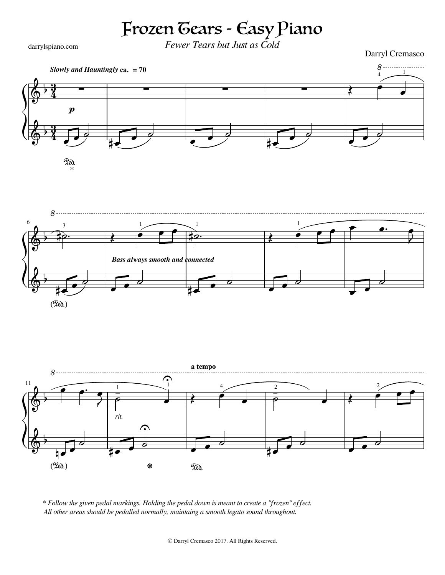## Frozen Tears - Easy Piano

darrylspiano.com

*Fewer Tears but Just as Cold*

Darryl Cremasco



*<sup>\*</sup> Follow the given pedal markings. Holding the pedal down is meant to create a "frozen" effect. All other areas should be pedalled normally, maintaing a smooth legato sound throughout.*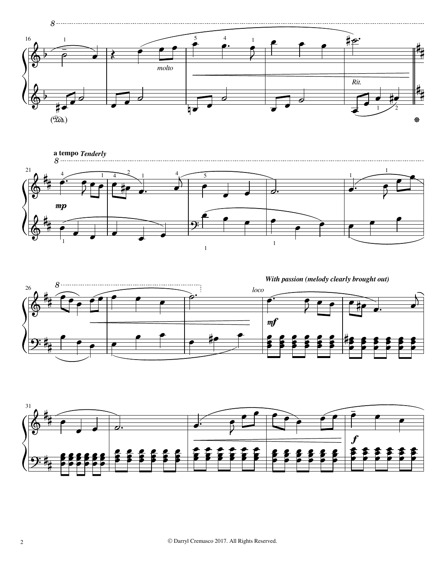







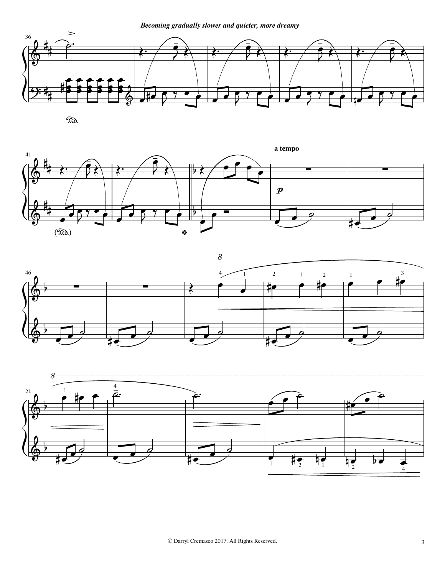

 $\mathbb{R}$ .